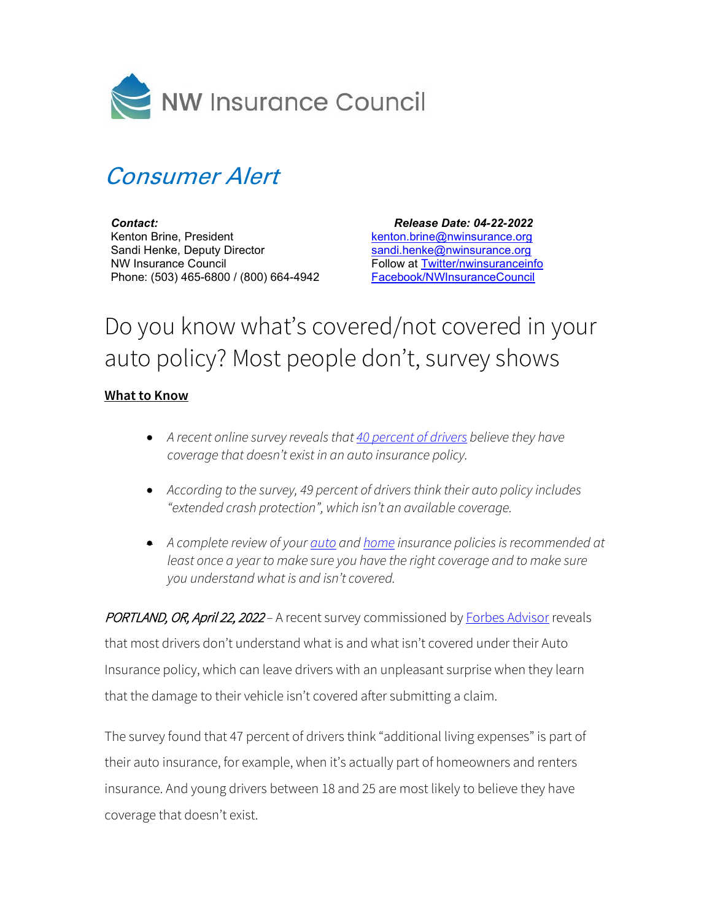

## Consumer Alert

*Contact:* Kenton Brine, President Sandi Henke, Deputy Director NW Insurance Council Phone: (503) 465-6800 / (800) 664-4942

 *Release Date: 04-22-2022* [kenton.brine@nwinsurance.org](mailto:kenton.brine@nwinsurance.org) [sandi.henke@nwinsurance.org](mailto:sandi.henke@nwinsurance.org) Follow at [Twitter/nwinsuranceinfo](http://twitter.com/#!/nwinsuranceinfo) [Facebook/NWInsuranceCouncil](https://www.facebook.com/NWInsuranceCouncil)

## Do you know what's covered/not covered in your auto policy? Most people don't, survey shows

## **What to Know**

- A recent online survey reveals tha[t 40 percent of drivers](https://www.repairerdrivennews.com/2022/04/07/survey-most-drivers-dont-understand-what-their-auto-insurance-covers/) believe they have *coverage that doesn't exist in an auto insurance policy.*
- *According to the survey, 49 percent of drivers think their auto policy includes "extended crash protection", which isn't an available coverage.*
- *A complete review of your [auto](https://www.nwinsurance.org/auto-insurance-basics) an[d home](https://www.nwinsurance.org/homeowners-insurance-basics) insurance policies is recommended at*  least once a year to make sure you have the right coverage and to make sure *you understand what is and isn't covered.*

PORTLAND, OR, April 22, 2022 - A recent survey commissioned by **Forbes Advisor** reveals that most drivers don't understand what is and what isn't covered under their Auto Insurance policy, which can leave drivers with an unpleasant surprise when they learn that the damage to their vehicle isn't covered after submitting a claim.

The survey found that 47 percent of drivers think "additional living expenses" is part of their auto insurance, for example, when it's actually part of homeowners and renters insurance. And young drivers between 18 and 25 are most likely to believe they have coverage that doesn't exist.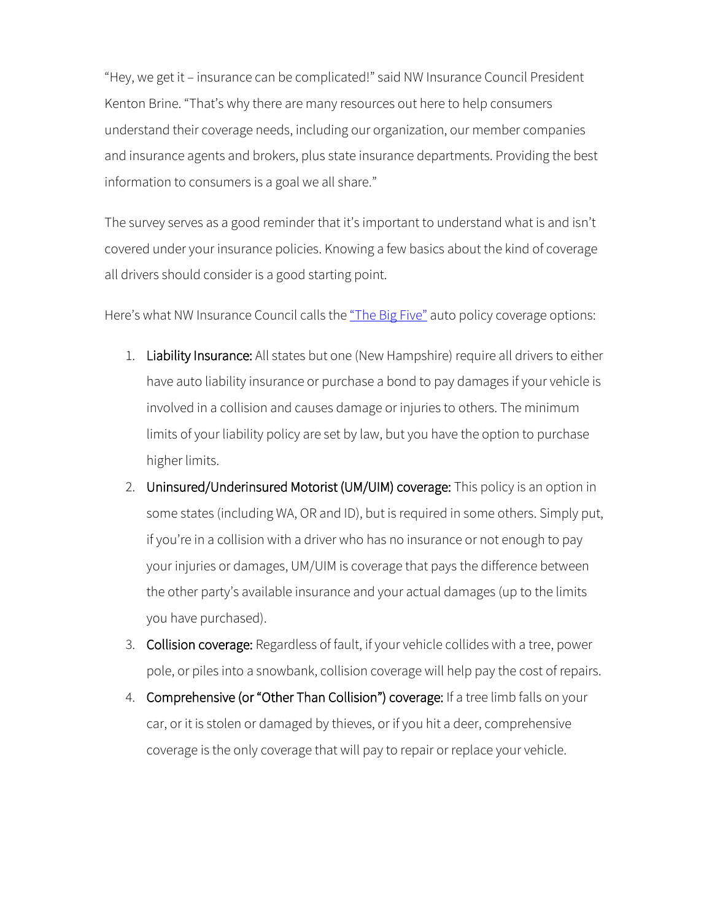"Hey, we get it – insurance can be complicated!" said NW Insurance Council President Kenton Brine. "That's why there are many resources out here to help consumers understand their coverage needs, including our organization, our member companies and insurance agents and brokers, plus state insurance departments. Providing the best information to consumers is a goal we all share."

The survey serves as a good reminder that it's important to understand what is and isn't covered under your insurance policies. Knowing a few basics about the kind of coverage all drivers should consider is a good starting point.

Here's what NW Insurance Council calls the ["The Big Five"](https://www.nwinsurance.org/auto-insurance-basics) auto policy coverage options:

- 1. Liability Insurance: All states but one (New Hampshire) require all drivers to either have auto liability insurance or purchase a bond to pay damages if your vehicle is involved in a collision and causes damage or injuries to others. The minimum limits of your liability policy are set by law, but you have the option to purchase higher limits.
- 2. Uninsured/Underinsured Motorist (UM/UIM) coverage: This policy is an option in some states (including WA, OR and ID), but is required in some others. Simply put, if you're in a collision with a driver who has no insurance or not enough to pay your injuries or damages, UM/UIM is coverage that pays the difference between the other party's available insurance and your actual damages (up to the limits you have purchased).
- 3. Collision coverage: Regardless of fault, if your vehicle collides with a tree, power pole, or piles into a snowbank, collision coverage will help pay the cost of repairs.
- 4. Comprehensive (or "Other Than Collision") coverage: If a tree limb falls on your car, or it is stolen or damaged by thieves, or if you hit a deer, comprehensive coverage is the only coverage that will pay to repair or replace your vehicle.